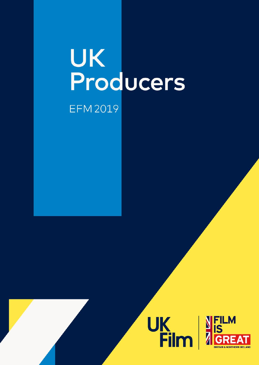## UK<br>Producers **EFM 2019**



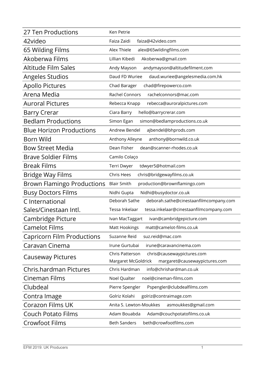| 27 Ten Productions                | Ken Petrie                                                                                            |
|-----------------------------------|-------------------------------------------------------------------------------------------------------|
| 42video                           | Faiza Zaidi<br>faiza@42video.com                                                                      |
| 65 Wilding Films                  | Alex Thiele<br>alex@65wildingfilms.com                                                                |
| Akoberwa Films                    | Lillian Kibedi<br>Akoberwa@gmail.com                                                                  |
| <b>Altitude Film Sales</b>        | Andy Mayson<br>andymayson@altitudefilment.com                                                         |
| <b>Angeles Studios</b>            | Daud FD Wuriee<br>daud.wuriee@angelesmedia.com.hk                                                     |
| <b>Apollo Pictures</b>            | Chad Barager<br>chad@firepowerco.com                                                                  |
| Arena Media                       | <b>Rachel Connors</b><br>rachelconnors@mac.com                                                        |
| <b>Auroral Pictures</b>           | Rebecca Knapp<br>rebecca@auroralpictures.com                                                          |
| <b>Barry Crerar</b>               | Ciara Barry<br>hello@barrycrerar.com                                                                  |
| <b>Bedlam Productions</b>         | simon@bedlamproductions.co.uk<br>Simon Egan                                                           |
| <b>Blue Horizon Productions</b>   | Andrew Bendel<br>ajbendel@bhprods.com                                                                 |
| Born Wild                         | Anthony Alleyne<br>anthony@bornwild.co.uk                                                             |
| <b>Bow Street Media</b>           | Dean Fisher<br>dean@scanner-rhodes.co.uk                                                              |
| <b>Brave Soldier Films</b>        | Camilo Colaço                                                                                         |
| <b>Break Films</b>                | Terri Dwyer<br>tdwyer5@hotmail.com                                                                    |
| <b>Bridge Way Films</b>           | chris@bridgewayfilms.co.uk<br>Chris Hees                                                              |
| <b>Brown Flamingo Productions</b> | production@brownflamingo.com<br><b>Blair Smith</b>                                                    |
| <b>Busy Doctors Films</b>         | Nidhi Gupta<br>Nidhi@busydoctor.co.uk                                                                 |
| C International                   | Deborah Sathe<br>deborah.sathe@cinestaanfilmcompany.com                                               |
| Sales/Cinestaan Intl.             | Tessa Inkelaar<br>tessa.inkelaar@cinestaanfilmcompany.com                                             |
| Cambridge Picture                 | Ivan MacTaggart<br>ivan@cambridgepicture.com                                                          |
| <b>Camelot Films</b>              | Matt Hookings<br>matt@camelot-films.co.uk                                                             |
| <b>Capricorn Film Productions</b> | Suzanne Reid<br>suz.reid@mac.com                                                                      |
| Caravan Cinema                    | Irune Gurtubai<br>irune@caravancinema.com                                                             |
| <b>Causeway Pictures</b>          | Chris Patterson<br>chris@causewaypictures.com<br>Margaret McGoldrick<br>margaret@causewaypictures.com |
| Chris.hardman Pictures            | info@chrishardman.co.uk<br>Chris Hardman                                                              |
| Cineman Films                     | Noel Qualter<br>noel@cineman-films.com                                                                |
| Clubdeal                          | Pierre Spengler<br>Pspengler@clubdealfilms.com                                                        |
| Contra Image                      | Golriz Kolahi<br>golriz@contraimage.com                                                               |
| Corazon Films UK                  | Anita S. Lewton-Moukkes<br>asmoukkes@gmail.com                                                        |
| <b>Couch Potato Films</b>         | Adam Bouabda<br>Adam@couchpotatofilms.co.uk                                                           |
| <b>Crowfoot Films</b>             | beth@crowfootfilms.com<br><b>Beth Sanders</b>                                                         |
|                                   |                                                                                                       |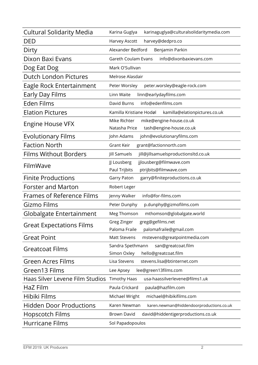| <b>Cultural Solidarity Media</b> | karinaguglya@culturalsolidaritymedia.com<br>Karina Guglya |
|----------------------------------|-----------------------------------------------------------|
| <b>DED</b>                       | Harvey Ascott<br>harvey@dedpro.co                         |
| Dirty                            | Alexander Bedford<br>Benjamin Parkin                      |
| Dixon Baxi Evans                 | info@dixonbaxievans.com<br>Gareth Coulam Evans            |
| Dog Eat Dog                      | Mark O'Sullivan                                           |
| <b>Dutch London Pictures</b>     | Melrose Alasdair                                          |
| Eagle Rock Entertainment         | Peter Worsley<br>peter.worsley@eagle-rock.com             |
| Early Day Films                  | Linn Waite<br>linn@earlydayfilms.com                      |
| Eden Films                       | David Burns<br>info@edenfilms.com                         |
| <b>Elation Pictures</b>          | Kamilla Kristiane Hodøl<br>kamilla@elationpictures.co.uk  |
| <b>Engine House VFX</b>          | Mike Richter<br>mike@engine-house.co.uk                   |
|                                  | Natasha Price<br>tash@engine-house.co.uk                  |
| <b>Evolutionary Films</b>        | John Adams<br>john@evolutionaryfilms.com                  |
| <b>Faction North</b>             | grant@factionnorth.com<br><b>Grant Keir</b>               |
| <b>Films Without Borders</b>     | Jill Samuels<br>jill@jillsamuelsproductionsltd.co.uk      |
| FilmWave                         | JJ Lousberg<br>jjlousberg@filmwave.com                    |
|                                  | Paul Trijbits<br>ptrijbits@filmwave.com                   |
| <b>Finite Productions</b>        | garry@finiteproductions.co.uk<br>Garry Paton              |
| <b>Forster and Marton</b>        | Robert Leger                                              |
| <b>Frames of Reference Films</b> | info@for-films.com<br>Jenny Walker                        |
| Gizmo Films                      | p.dunphy@gizmofilms.com<br>Peter Dunphy                   |
| Globalgate Entertainment         | Meg Thomson<br>mthomson@globalgate.world                  |
| <b>Great Expectations Films</b>  | Greg Zinger<br>greg@gefilms.net                           |
|                                  | Paloma Fraile<br>palomafraile@gmail.com                   |
| <b>Great Point</b>               | Matt Stevens<br>mstevens@greatpointmedia.com              |
| <b>Greatcoat Films</b>           | Sandra Spethmann<br>san@greatcoat.film                    |
|                                  | Simon Oxley<br>hello@greatcoat.film                       |
| <b>Green Acres Films</b>         | stevens.lisa@btinternet.com<br>Lisa Stevens               |
| Green13 Films                    | lee@green13films.com<br>Lee Apsey                         |
| Haas Silver Levene Film Studios  | <b>Timothy Haas</b><br>usa-haassilverlevene@films1.uk     |
| HaZ Film                         | paula@hazfilm.com<br>Paula Crickard                       |
| Hibiki Films                     | michael@hibikifilms.com<br>Michael Wright                 |
| <b>Hidden Door Productions</b>   | Karen Newman<br>karen.newman@hiddendoorproductions.co.uk  |
| Hopscotch Films                  | <b>Brown David</b><br>david@hiddentigerproductions.co.uk  |
| <b>Hurricane Films</b>           | Sol Papadopoulos                                          |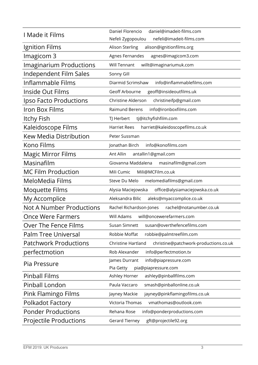| I Made it Films                 | Daniel Florencio<br>daniel@imadeit-films.com<br>Nefeli Zygopoulou<br>nefeli@imadeit-films.com |
|---------------------------------|-----------------------------------------------------------------------------------------------|
| Ignition Films                  | <b>Alison Sterling</b><br>alison@ignitionfilms.org                                            |
| Imagicom 3                      | Agnes Fernandes<br>agnes@imagicom3.com                                                        |
| <b>Imaginarium Productions</b>  | <b>Will Tennant</b><br>willt@imaginariumuk.com                                                |
| Independent Film Sales          | Sonny Gill                                                                                    |
| Inflammable Films               | Diarmid Scrimshaw<br>info@inflammablefilms.com                                                |
| Inside Out Films                | Geoff Arbourne<br>geoff@insideoutfilms.uk                                                     |
| Ipso Facto Productions          | Christine Alderson<br>christineifp@gmail.com                                                  |
| Iron Box Films                  | <b>Raimund Berens</b><br>info@ironboxfilms.com                                                |
| Itchy Fish                      | tj@itchyfishfilm.com<br>TJ Herbert                                                            |
| Kaleidoscope Films              | <b>Harriet Rees</b><br>harriet@kaleidoscopefilms.co.uk                                        |
| <b>Kew Media Distribution</b>   | Peter Sussman                                                                                 |
| Kono Films                      | info@konofilms.com<br>Jonathan Birch                                                          |
| <b>Magic Mirror Films</b>       | Ant Allin<br>antallin1@gmail.com                                                              |
| Masinafilm                      | Giovanna Maddalena<br>masinafilm@gmail.com                                                    |
| <b>MC Film Production</b>       | Mili@MCFilm.co.uk<br>Mili Cumic                                                               |
| MeloMedia Films                 | Steve Du Melo<br>melomediafilms@gmail.com                                                     |
| <b>Moquette Films</b>           | office@alysiamaciejowska.co.uk<br>Alysia Maciejowska                                          |
| My Accomplice                   | Aleksandra Bilic<br>aleks@myaccomplice.co.uk                                                  |
| <b>Not A Number Productions</b> | rachel@notanumber.co.uk<br>Rachel Richardson-Jones                                            |
| <b>Once Were Farmers</b>        | Will Adams<br>will@oncewerefarmers.com                                                        |
| Over The Fence Films            | susan@overthefencefilms.com<br><b>Susan Simnett</b>                                           |
| <b>Palm Tree Universal</b>      | Robbie Moffat<br>robbie@palmtreefilm.com                                                      |
| <b>Patchwork Productions</b>    | christine@patchwork-productions.co.uk<br><b>Christine Hartland</b>                            |
| perfectmotion                   | Rob Alexander<br>info@perfectmotion.tv                                                        |
| Pia Pressure                    | James Durrant<br>info@piapressure.com<br>Pia Getty<br>pia@piapressure.com                     |
| <b>Pinball Films</b>            | Ashley Horner<br>ashley@pinballfilms.com                                                      |
| Pinball London                  | Paula Vaccaro<br>smash@pinballonline.co.uk                                                    |
| Pink Flamingo Films             | jayney@pinkflamingofilms.co.uk<br>Jayney Mackie                                               |
| Polkadot Factory                | Victoria Thomas<br>vmathomas@outlook.com                                                      |
| <b>Ponder Productions</b>       | Rehana Rose<br>info@ponderproductions.com                                                     |
| Projectile Productions          | Gerard Tierney<br>gft@projectile92.org                                                        |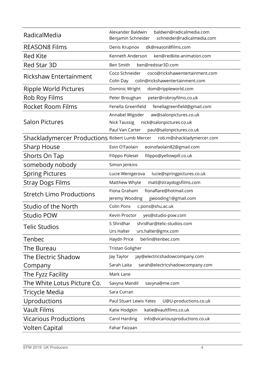| RadicalMedia                                     | Alexander Baldwin<br>baldwin@radicalmedia.com<br>Benjamin Schneider<br>schneider@radicalmedia.com                                           |
|--------------------------------------------------|---------------------------------------------------------------------------------------------------------------------------------------------|
| <b>REASON8 Films</b>                             | Denis Krupnov<br>dk@reason8films.com                                                                                                        |
| <b>Red Kite</b>                                  | Kenneth Anderson<br>ken@redkite-animation.com                                                                                               |
| Red Star 3D                                      | <b>Ben Smith</b><br>ben@redstar3D.com                                                                                                       |
| <b>Rickshaw Entertainment</b>                    | Coco Schneider<br>coco@rickshawentertainment.com<br>Colin Day<br>colin@rickshawentertainment.com                                            |
| <b>Ripple World Pictures</b>                     | Dominic Wright<br>dom@rippleworld.com                                                                                                       |
| Rob Roy Films                                    | Peter Broughan<br>peter@robroyfilms.co.uk                                                                                                   |
| <b>Rocket Room Films</b>                         | Fenella Greenfield<br>fenellagreenfield@gmail.com                                                                                           |
| <b>Salon Pictures</b>                            | Annabel Wigoder<br>aw@salonpictures.co.uk<br><b>Nick Taussig</b><br>nick@salonpictures.co.uk<br>Paul Van Carter<br>paul@salonpictures.co.uk |
| Shackladymercer Productions Robert Lumb Mercer   | rob.m@shackladymercer.com                                                                                                                   |
| <b>Sharp House</b>                               | Eoin O'Faolain<br>eoinofaolain82@gmail.com                                                                                                  |
| Shorts On Tap                                    | filippo@yellowpill.co.uk<br>Filippo Polesel                                                                                                 |
| somebody nobody                                  | Simon Jenkins                                                                                                                               |
| <b>Spring Pictures</b>                           | Lucie Wenigerova<br>lucie@springpictures.co.uk                                                                                              |
| <b>Stray Dogs Films</b>                          | Matthew Whyte<br>matt@straydogsfilms.com                                                                                                    |
| <b>Stretch Limo Productions</b>                  | fionaflare@hotmail.com<br>Fiona Graham                                                                                                      |
|                                                  | Jeremy Wooding<br>jjwooding1@gmail.com                                                                                                      |
| Studio of the North                              | Colin Pons<br>c.pons@shu.ac.uk                                                                                                              |
| <b>Studio POW</b>                                | Kevin Proctor<br>yes@studio-pow.com                                                                                                         |
| <b>Telic Studios</b>                             | shridhar@telic-studios.com<br>S Shridhar                                                                                                    |
| Tenbec                                           | Urs Halter<br>urs.halter@gmx.com<br>Haydn Price<br>berlin@tenbec.com                                                                        |
| The Bureau                                       |                                                                                                                                             |
|                                                  | <b>Tristan Goligher</b><br>Jay Taylor<br>jay@electricshadowcompany.com                                                                      |
| The Electric Shadow                              | sarah@electricshadowcompany.com<br>Sarah Laita                                                                                              |
| Company                                          | Mark Lane                                                                                                                                   |
| The Fyzz Facility<br>The White Lotus Picture Co. |                                                                                                                                             |
|                                                  | Savyna Mandil<br>savyna@me.com                                                                                                              |
| Tricycle Media                                   | Sara Curran                                                                                                                                 |
| Uproductions                                     | Paul Stuart Lewis Yates<br>U@U-productions.co.uk                                                                                            |
| <b>Vault Films</b>                               | katie@vaultfilms.co.uk<br>Katie Hodgkin                                                                                                     |
| <b>Vicarious Productions</b>                     | Carol Harding<br>info@vicariousproductions.co.uk                                                                                            |
| <b>Volten Capital</b>                            | Fahar Faizaan                                                                                                                               |